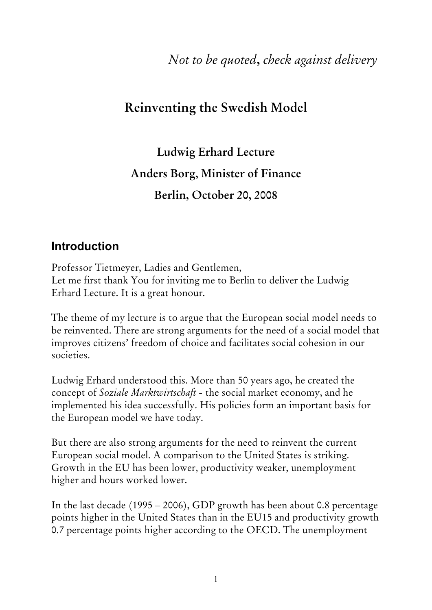*Not to be quoted***,** *check against delivery* 

# **Reinventing the Swedish Model**

**Ludwig Erhard Lecture Anders Borg, Minister of Finance Berlin, October 20, 2008** 

### **Introduction**

Professor Tietmeyer, Ladies and Gentlemen, Let me first thank You for inviting me to Berlin to deliver the Ludwig Erhard Lecture. It is a great honour.

The theme of my lecture is to argue that the European social model needs to be reinvented. There are strong arguments for the need of a social model that improves citizens' freedom of choice and facilitates social cohesion in our societies.

Ludwig Erhard understood this. More than 50 years ago, he created the concept of *Soziale Marktwirtschaft -* the social market economy, and he implemented his idea successfully. His policies form an important basis for the European model we have today.

But there are also strong arguments for the need to reinvent the current European social model. A comparison to the United States is striking. Growth in the EU has been lower, productivity weaker, unemployment higher and hours worked lower.

In the last decade (1995 – 2006), GDP growth has been about 0.8 percentage points higher in the United States than in the EU15 and productivity growth 0.7 percentage points higher according to the OECD. The unemployment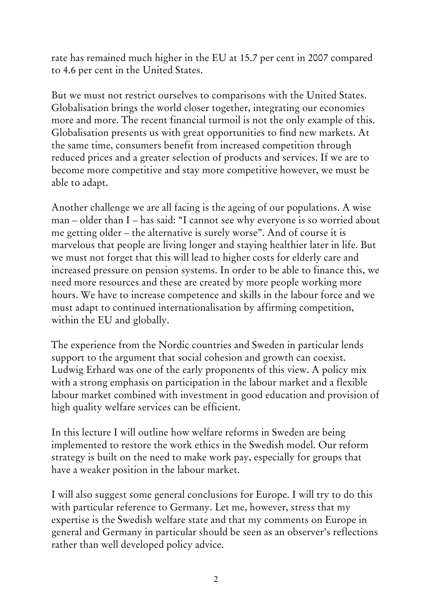rate has remained much higher in the EU at 15.7 per cent in 2007 compared to 4.6 per cent in the United States.

But we must not restrict ourselves to comparisons with the United States. Globalisation brings the world closer together, integrating our economies more and more. The recent financial turmoil is not the only example of this. Globalisation presents us with great opportunities to find new markets. At the same time, consumers benefit from increased competition through reduced prices and a greater selection of products and services. If we are to become more competitive and stay more competitive however, we must be able to adapt.

Another challenge we are all facing is the ageing of our populations. A wise man – older than I – has said: "I cannot see why everyone is so worried about me getting older – the alternative is surely worse". And of course it is marvelous that people are living longer and staying healthier later in life. But we must not forget that this will lead to higher costs for elderly care and increased pressure on pension systems. In order to be able to finance this, we need more resources and these are created by more people working more hours. We have to increase competence and skills in the labour force and we must adapt to continued internationalisation by affirming competition, within the EU and globally.

The experience from the Nordic countries and Sweden in particular lends support to the argument that social cohesion and growth can coexist. Ludwig Erhard was one of the early proponents of this view. A policy mix with a strong emphasis on participation in the labour market and a flexible labour market combined with investment in good education and provision of high quality welfare services can be efficient.

In this lecture I will outline how welfare reforms in Sweden are being implemented to restore the work ethics in the Swedish model. Our reform strategy is built on the need to make work pay, especially for groups that have a weaker position in the labour market.

I will also suggest some general conclusions for Europe. I will try to do this with particular reference to Germany. Let me, however, stress that my expertise is the Swedish welfare state and that my comments on Europe in general and Germany in particular should be seen as an observer's reflections rather than well developed policy advice.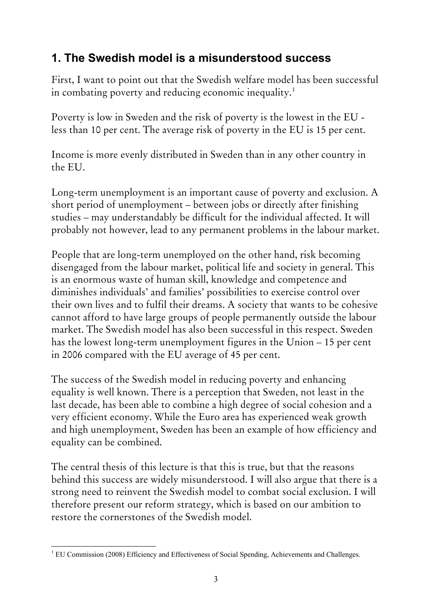# **1. The Swedish model is a misunderstood success**

First, I want to point out that the Swedish welfare model has been successful in combating poverty and reducing economic inequality.<sup>[1](#page-2-0)</sup>

Poverty is low in Sweden and the risk of poverty is the lowest in the EU less than 10 per cent. The average risk of poverty in the EU is 15 per cent.

Income is more evenly distributed in Sweden than in any other country in the EU.

Long-term unemployment is an important cause of poverty and exclusion. A short period of unemployment – between jobs or directly after finishing studies – may understandably be difficult for the individual affected. It will probably not however, lead to any permanent problems in the labour market.

People that are long-term unemployed on the other hand, risk becoming disengaged from the labour market, political life and society in general. This is an enormous waste of human skill, knowledge and competence and diminishes individuals' and families' possibilities to exercise control over their own lives and to fulfil their dreams. A society that wants to be cohesive cannot afford to have large groups of people permanently outside the labour market. The Swedish model has also been successful in this respect. Sweden has the lowest long-term unemployment figures in the Union – 15 per cent in 2006 compared with the EU average of 45 per cent.

The success of the Swedish model in reducing poverty and enhancing equality is well known. There is a perception that Sweden, not least in the last decade, has been able to combine a high degree of social cohesion and a very efficient economy. While the Euro area has experienced weak growth and high unemployment, Sweden has been an example of how efficiency and equality can be combined.

The central thesis of this lecture is that this is true, but that the reasons behind this success are widely misunderstood. I will also argue that there is a strong need to reinvent the Swedish model to combat social exclusion. I will therefore present our reform strategy, which is based on our ambition to restore the cornerstones of the Swedish model.

<span id="page-2-0"></span><sup>1</sup> <sup>1</sup> EU Commission (2008) Efficiency and Effectiveness of Social Spending, Achievements and Challenges.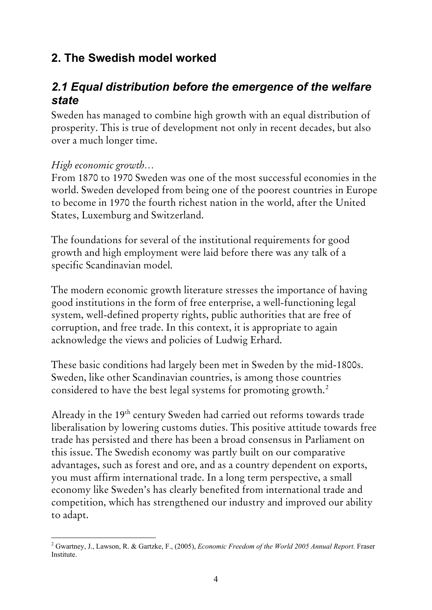# **2. The Swedish model worked**

# *2.1 Equal distribution before the emergence of the welfare state*

Sweden has managed to combine high growth with an equal distribution of prosperity. This is true of development not only in recent decades, but also over a much longer time.

### *High economic growth…*

From 1870 to 1970 Sweden was one of the most successful economies in the world. Sweden developed from being one of the poorest countries in Europe to become in 1970 the fourth richest nation in the world, after the United States, Luxemburg and Switzerland.

The foundations for several of the institutional requirements for good growth and high employment were laid before there was any talk of a specific Scandinavian model.

The modern economic growth literature stresses the importance of having good institutions in the form of free enterprise, a well-functioning legal system, well-defined property rights, public authorities that are free of corruption, and free trade. In this context, it is appropriate to again acknowledge the views and policies of Ludwig Erhard.

These basic conditions had largely been met in Sweden by the mid-1800s. Sweden, like other Scandinavian countries, is among those countries considered to have the best legal systems for promoting growth.<sup>[2](#page-3-0)</sup>

Already in the 19<sup>th</sup> century Sweden had carried out reforms towards trade liberalisation by lowering customs duties. This positive attitude towards free trade has persisted and there has been a broad consensus in Parliament on this issue. The Swedish economy was partly built on our comparative advantages, such as forest and ore, and as a country dependent on exports, you must affirm international trade. In a long term perspective, a small economy like Sweden's has clearly benefited from international trade and competition, which has strengthened our industry and improved our ability to adapt.

<span id="page-3-0"></span><sup>1</sup> 2 Gwartney, J., Lawson, R. & Gartzke, F., (2005), *Economic Freedom of the World 2005 Annual Report.* Fraser **Institute**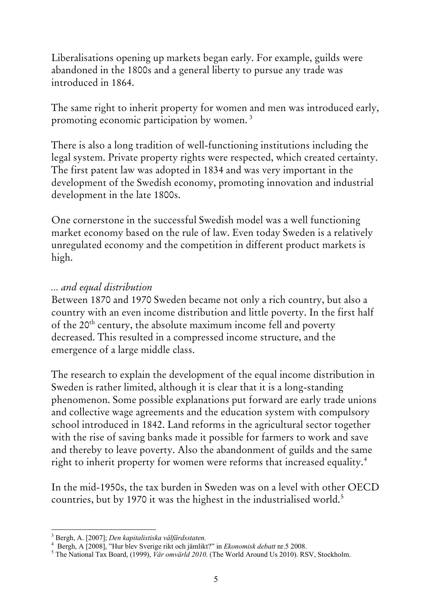Liberalisations opening up markets began early. For example, guilds were abandoned in the 1800s and a general liberty to pursue any trade was introduced in 1864.

The same right to inherit property for women and men was introduced early, promoting economic participation by women.<sup>[3](#page-4-0)</sup>

There is also a long tradition of well-functioning institutions including the legal system. Private property rights were respected, which created certainty. The first patent law was adopted in 1834 and was very important in the development of the Swedish economy, promoting innovation and industrial development in the late 1800s.

One cornerstone in the successful Swedish model was a well functioning market economy based on the rule of law. Even today Sweden is a relatively unregulated economy and the competition in different product markets is high.

### *... and equal distribution*

Between 1870 and 1970 Sweden became not only a rich country, but also a country with an even income distribution and little poverty. In the first half of the 20<sup>th</sup> century, the absolute maximum income fell and poverty decreased. This resulted in a compressed income structure, and the emergence of a large middle class.

The research to explain the development of the equal income distribution in Sweden is rather limited, although it is clear that it is a long-standing phenomenon. Some possible explanations put forward are early trade unions and collective wage agreements and the education system with compulsory school introduced in 1842. Land reforms in the agricultural sector together with the rise of saving banks made it possible for farmers to work and save and thereby to leave poverty. Also the abandonment of guilds and the same right to inherit property for women were reforms that increased equality.<sup>[4](#page-4-1)</sup>

In the mid-1950s, the tax burden in Sweden was on a level with other OECD countries, but by 1970 it was the highest in the industrialised world.<sup>[5](#page-4-2)</sup>

<sup>1</sup> 3 Bergh, A. [2007]; *Den kapitalistiska välfärdsstaten.* <sup>4</sup>

<span id="page-4-1"></span><span id="page-4-0"></span>Bergh, A [2008], "Hur blev Sverige rikt och jämlikt?" in *Ekonomisk debatt* nr.5 2008. 5

<span id="page-4-2"></span><sup>&</sup>lt;sup>5</sup> The National Tax Board, (1999), *Vår omvärld 2010*. (The World Around Us 2010). RSV, Stockholm.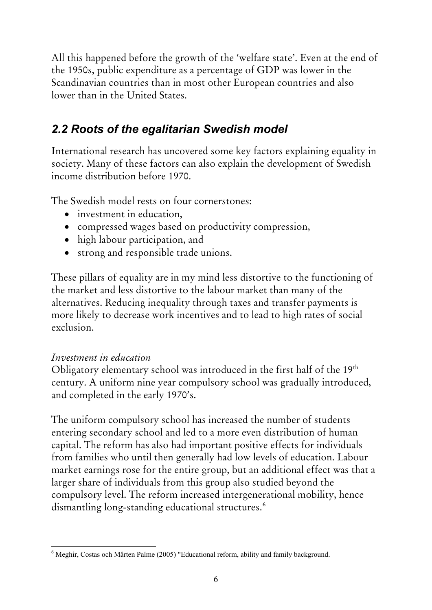All this happened before the growth of the 'welfare state'. Even at the end of the 1950s, public expenditure as a percentage of GDP was lower in the Scandinavian countries than in most other European countries and also lower than in the United States.

# *2.2 Roots of the egalitarian Swedish model*

International research has uncovered some key factors explaining equality in society. Many of these factors can also explain the development of Swedish income distribution before 1970.

The Swedish model rests on four cornerstones:

- investment in education,
- compressed wages based on productivity compression,
- high labour participation, and
- strong and responsible trade unions.

These pillars of equality are in my mind less distortive to the functioning of the market and less distortive to the labour market than many of the alternatives. Reducing inequality through taxes and transfer payments is more likely to decrease work incentives and to lead to high rates of social exclusion.

### *Investment in education*

Obligatory elementary school was introduced in the first half of the 19<sup>th</sup> century. A uniform nine year compulsory school was gradually introduced, and completed in the early 1970's.

The uniform compulsory school has increased the number of students entering secondary school and led to a more even distribution of human capital. The reform has also had important positive effects for individuals from families who until then generally had low levels of education. Labour market earnings rose for the entire group, but an additional effect was that a larger share of individuals from this group also studied beyond the compulsory level. The reform increased intergenerational mobility, hence dismantling long-standing educational structures.<sup>[6](#page-5-0)</sup>

<span id="page-5-0"></span><sup>1</sup> <sup>6</sup> Meghir, Costas och Mårten Palme (2005) "Educational reform, ability and family background.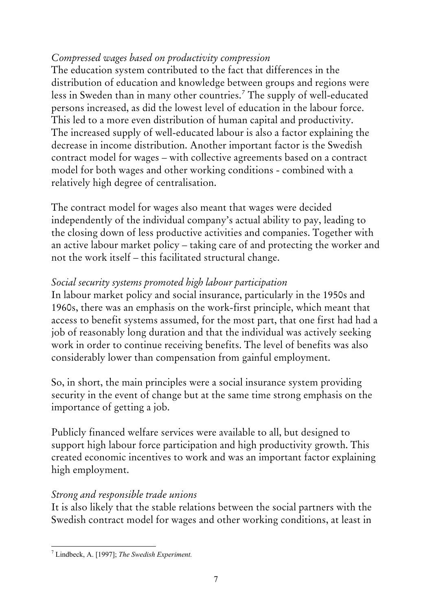### *Compressed wages based on productivity compression*

The education system contributed to the fact that differences in the distribution of education and knowledge between groups and regions were less in Sweden than in many other countries.[7](#page-6-0) The supply of well-educated persons increased, as did the lowest level of education in the labour force. This led to a more even distribution of human capital and productivity. The increased supply of well-educated labour is also a factor explaining the decrease in income distribution. Another important factor is the Swedish contract model for wages – with collective agreements based on a contract model for both wages and other working conditions - combined with a relatively high degree of centralisation.

The contract model for wages also meant that wages were decided independently of the individual company's actual ability to pay, leading to the closing down of less productive activities and companies. Together with an active labour market policy – taking care of and protecting the worker and not the work itself – this facilitated structural change.

### *Social security systems promoted high labour participation*

In labour market policy and social insurance, particularly in the 1950s and 1960s, there was an emphasis on the work-first principle, which meant that access to benefit systems assumed, for the most part, that one first had had a job of reasonably long duration and that the individual was actively seeking work in order to continue receiving benefits. The level of benefits was also considerably lower than compensation from gainful employment.

So, in short, the main principles were a social insurance system providing security in the event of change but at the same time strong emphasis on the importance of getting a job.

Publicly financed welfare services were available to all, but designed to support high labour force participation and high productivity growth. This created economic incentives to work and was an important factor explaining high employment.

#### *Strong and responsible trade unions*

It is also likely that the stable relations between the social partners with the Swedish contract model for wages and other working conditions, at least in

<span id="page-6-0"></span><sup>1</sup> 7 Lindbeck, A. [1997]; *The Swedish Experiment.*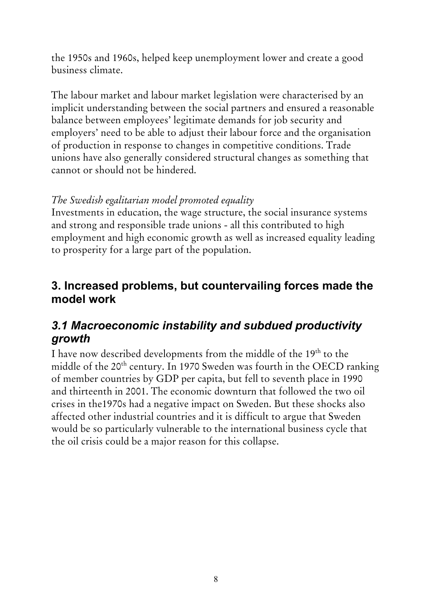the 1950s and 1960s, helped keep unemployment lower and create a good business climate.

The labour market and labour market legislation were characterised by an implicit understanding between the social partners and ensured a reasonable balance between employees' legitimate demands for job security and employers' need to be able to adjust their labour force and the organisation of production in response to changes in competitive conditions. Trade unions have also generally considered structural changes as something that cannot or should not be hindered.

### *The Swedish egalitarian model promoted equality*

Investments in education, the wage structure, the social insurance systems and strong and responsible trade unions - all this contributed to high employment and high economic growth as well as increased equality leading to prosperity for a large part of the population.

## **3. Increased problems, but countervailing forces made the model work**

# *3.1 Macroeconomic instability and subdued productivity growth*

I have now described developments from the middle of the 19th to the middle of the 20<sup>th</sup> century. In 1970 Sweden was fourth in the OECD ranking of member countries by GDP per capita, but fell to seventh place in 1990 and thirteenth in 2001. The economic downturn that followed the two oil crises in the1970s had a negative impact on Sweden. But these shocks also affected other industrial countries and it is difficult to argue that Sweden would be so particularly vulnerable to the international business cycle that the oil crisis could be a major reason for this collapse.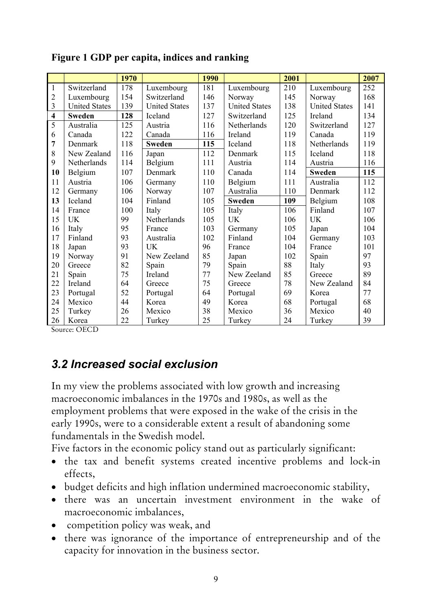|                         |                      | 1970 |                      | 1990 |                      | 2001 |                      | 2007 |
|-------------------------|----------------------|------|----------------------|------|----------------------|------|----------------------|------|
| $\overline{1}$          | Switzerland          | 178  | Luxembourg           | 181  | Luxembourg           | 210  | Luxembourg           | 252  |
| $\overline{2}$          | Luxembourg           | 154  | Switzerland          | 146  | Norway               | 145  | Norway               | 168  |
| $\overline{3}$          | <b>United States</b> | 139  | <b>United States</b> | 137  | <b>United States</b> | 138  | <b>United States</b> | 141  |
| $\overline{\mathbf{4}}$ | <b>Sweden</b>        | 128  | Iceland              | 127  | Switzerland          | 125  | Ireland              | 134  |
| $\overline{5}$          | Australia            | 125  | Austria              | 116  | Netherlands          | 120  | Switzerland          | 127  |
| 6                       | Canada               | 122  | Canada               | 116  | Ireland              | 119  | Canada               | 119  |
| 7                       | Denmark              | 118  | <b>Sweden</b>        | 115  | Iceland              | 118  | Netherlands          | 119  |
| 8                       | New Zealand          | 116  | Japan                | 112  | Denmark              | 115  | Iceland              | 118  |
| 9                       | Netherlands          | 114  | Belgium              | 111  | Austria              | 114  | Austria              | 116  |
| 10                      | Belgium              | 107  | Denmark              | 110  | Canada               | 114  | <b>Sweden</b>        | 115  |
| 11                      | Austria              | 106  | Germany              | 110  | Belgium              | 111  | Australia            | 112  |
| 12                      | Germany              | 106  | Norway               | 107  | Australia            | 110  | Denmark              | 112  |
| 13                      | Iceland              | 104  | Finland              | 105  | <b>Sweden</b>        | 109  | Belgium              | 108  |
| 14                      | France               | 100  | Italy                | 105  | Italy                | 106  | Finland              | 107  |
| 15                      | <b>UK</b>            | 99   | Netherlands          | 105  | <b>UK</b>            | 106  | <b>UK</b>            | 106  |
| 16                      | Italy                | 95   | France               | 103  | Germany              | 105  | Japan                | 104  |
| 17                      | Finland              | 93   | Australia            | 102  | Finland              | 104  | Germany              | 103  |
| 18                      | Japan                | 93   | <b>UK</b>            | 96   | France               | 104  | France               | 101  |
| 19                      | Norway               | 91   | New Zeeland          | 85   | Japan                | 102  | Spain                | 97   |
| 20                      | Greece               | 82   | Spain                | 79   | Spain                | 88   | Italy                | 93   |
| 21                      | Spain                | 75   | Ireland              | 77   | New Zeeland          | 85   | Greece               | 89   |
| 22                      | Ireland              | 64   | Greece               | 75   | Greece               | 78   | New Zealand          | 84   |
| 23                      | Portugal             | 52   | Portugal             | 64   | Portugal             | 69   | Korea                | 77   |
| 24                      | Mexico               | 44   | Korea                | 49   | Korea                | 68   | Portugal             | 68   |
| 25                      | Turkey               | 26   | Mexico               | 38   | Mexico               | 36   | Mexico               | 40   |
| 26                      | Korea                | 22   | Turkey               | 25   | Turkey               | 24   | Turkey               | 39   |

#### **Figure 1 GDP per capita, indices and ranking**

Source: OECD

### *3.2 Increased social exclusion*

In my view the problems associated with low growth and increasing macroeconomic imbalances in the 1970s and 1980s, as well as the employment problems that were exposed in the wake of the crisis in the early 1990s, were to a considerable extent a result of abandoning some fundamentals in the Swedish model.

Five factors in the economic policy stand out as particularly significant:

- the tax and benefit systems created incentive problems and lock-in effects,
- budget deficits and high inflation undermined macroeconomic stability,
- there was an uncertain investment environment in the wake of macroeconomic imbalances,
- competition policy was weak, and
- there was ignorance of the importance of entrepreneurship and of the capacity for innovation in the business sector.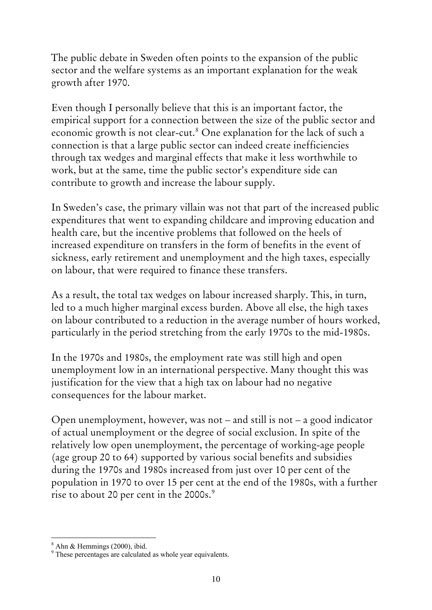The public debate in Sweden often points to the expansion of the public sector and the welfare systems as an important explanation for the weak growth after 1970.

Even though I personally believe that this is an important factor, the empirical support for a connection between the size of the public sector and economic growth is not clear-cut.<sup>[8](#page-9-0)</sup> One explanation for the lack of such a connection is that a large public sector can indeed create inefficiencies through tax wedges and marginal effects that make it less worthwhile to work, but at the same, time the public sector's expenditure side can contribute to growth and increase the labour supply.

In Sweden's case, the primary villain was not that part of the increased public expenditures that went to expanding childcare and improving education and health care, but the incentive problems that followed on the heels of increased expenditure on transfers in the form of benefits in the event of sickness, early retirement and unemployment and the high taxes, especially on labour, that were required to finance these transfers.

As a result, the total tax wedges on labour increased sharply. This, in turn, led to a much higher marginal excess burden. Above all else, the high taxes on labour contributed to a reduction in the average number of hours worked, particularly in the period stretching from the early 1970s to the mid-1980s.

In the 1970s and 1980s, the employment rate was still high and open unemployment low in an international perspective. Many thought this was justification for the view that a high tax on labour had no negative consequences for the labour market.

Open unemployment, however, was not – and still is not – a good indicator of actual unemployment or the degree of social exclusion. In spite of the relatively low open unemployment, the percentage of working-age people (age group 20 to 64) supported by various social benefits and subsidies during the 1970s and 1980s increased from just over 10 per cent of the population in 1970 to over 15 per cent at the end of the 1980s, with a further rise to about 20 per cent in the 2000s.<sup>[9](#page-9-1)</sup>

<sup>1</sup> 8 Ahn & Hemmings (2000), ibid.

<span id="page-9-1"></span><span id="page-9-0"></span><sup>&</sup>lt;sup>9</sup> These percentages are calculated as whole year equivalents.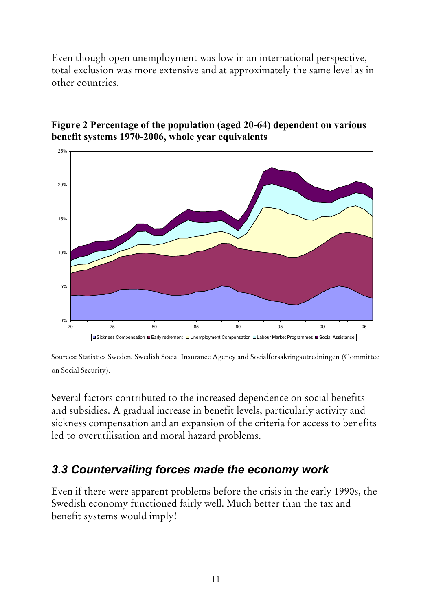Even though open unemployment was low in an international perspective, total exclusion was more extensive and at approximately the same level as in other countries.



### **Figure 2 Percentage of the population (aged 20-64) dependent on various benefit systems 1970-2006, whole year equivalents**

Sources: Statistics Sweden, Swedish Social Insurance Agency and Socialförsäkringsutredningen (Committee on Social Security).

Several factors contributed to the increased dependence on social benefits and subsidies. A gradual increase in benefit levels, particularly activity and sickness compensation and an expansion of the criteria for access to benefits led to overutilisation and moral hazard problems.

# *3.3 Countervailing forces made the economy work*

Even if there were apparent problems before the crisis in the early 1990s, the Swedish economy functioned fairly well. Much better than the tax and benefit systems would imply!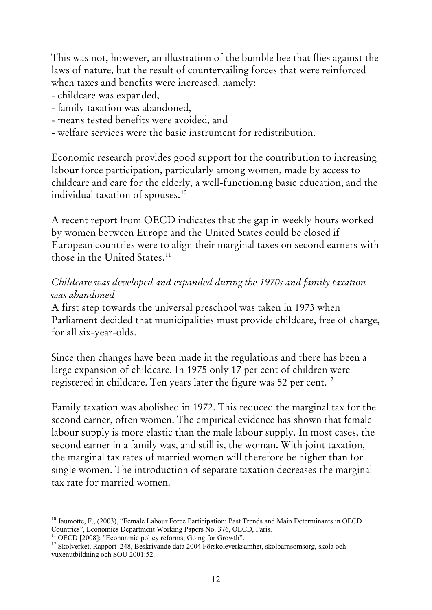This was not, however, an illustration of the bumble bee that flies against the laws of nature, but the result of countervailing forces that were reinforced when taxes and benefits were increased, namely:

- childcare was expanded,
- family taxation was abandoned,
- means tested benefits were avoided, and
- welfare services were the basic instrument for redistribution.

Economic research provides good support for the contribution to increasing labour force participation, particularly among women, made by access to childcare and care for the elderly, a well-functioning basic education, and the individual taxation of spouses.<sup>[10](#page-11-0)</sup>

A recent report from OECD indicates that the gap in weekly hours worked by women between Europe and the United States could be closed if European countries were to align their marginal taxes on second earners with those in the United States.<sup>[11](#page-11-1)</sup>

### *Childcare was developed and expanded during the 1970s and family taxation was abandoned*

A first step towards the universal preschool was taken in 1973 when Parliament decided that municipalities must provide childcare, free of charge, for all six-year-olds.

Since then changes have been made in the regulations and there has been a large expansion of childcare. In 1975 only 17 per cent of children were registered in childcare. Ten years later the figure was 52 per cent.<sup>[12](#page-11-2)</sup>

Family taxation was abolished in 1972. This reduced the marginal tax for the second earner, often women. The empirical evidence has shown that female labour supply is more elastic than the male labour supply. In most cases, the second earner in a family was, and still is, the woman. With joint taxation, the marginal tax rates of married women will therefore be higher than for single women. The introduction of separate taxation decreases the marginal tax rate for married women.

<span id="page-11-0"></span><sup>1</sup> <sup>10</sup> Jaumotte, F., (2003), "Female Labour Force Participation: Past Trends and Main Determinants in OECD Countries", Economics Department Working Papers No. 376, OECD, Paris.

<span id="page-11-1"></span><sup>&</sup>lt;sup>11</sup> OECD [2008]; "Econonmic policy reforms; Going for Growth".

<span id="page-11-2"></span><sup>&</sup>lt;sup>12</sup> Skolverket, Rapport 248, Beskrivande data 2004 Förskoleverksamhet, skolbarnsomsorg, skola och vuxenutbildning och SOU 2001:52.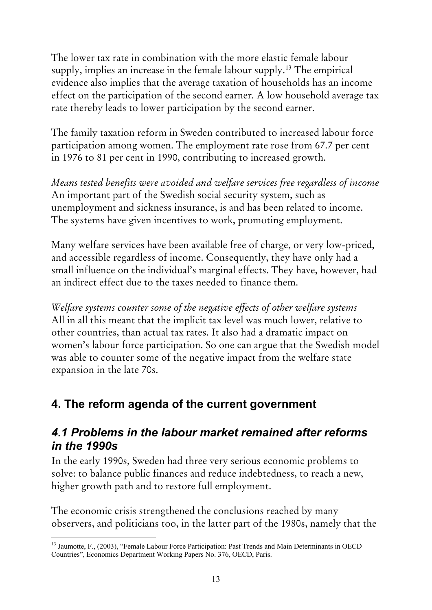The lower tax rate in combination with the more elastic female labour supply, implies an increase in the female labour supply.<sup>[13](#page-12-0)</sup> The empirical evidence also implies that the average taxation of households has an income effect on the participation of the second earner. A low household average tax rate thereby leads to lower participation by the second earner.

The family taxation reform in Sweden contributed to increased labour force participation among women. The employment rate rose from 67.7 per cent in 1976 to 81 per cent in 1990, contributing to increased growth.

*Means tested benefits were avoided and welfare services free regardless of income*  An important part of the Swedish social security system, such as unemployment and sickness insurance, is and has been related to income. The systems have given incentives to work, promoting employment.

Many welfare services have been available free of charge, or very low-priced, and accessible regardless of income. Consequently, they have only had a small influence on the individual's marginal effects. They have, however, had an indirect effect due to the taxes needed to finance them.

*Welfare systems counter some of the negative effects of other welfare systems*  All in all this meant that the implicit tax level was much lower, relative to other countries, than actual tax rates. It also had a dramatic impact on women's labour force participation. So one can argue that the Swedish model was able to counter some of the negative impact from the welfare state expansion in the late 70s.

# **4. The reform agenda of the current government**

### *4.1 Problems in the labour market remained after reforms in the 1990s*

In the early 1990s, Sweden had three very serious economic problems to solve: to balance public finances and reduce indebtedness, to reach a new, higher growth path and to restore full employment.

The economic crisis strengthened the conclusions reached by many observers, and politicians too, in the latter part of the 1980s, namely that the

<span id="page-12-0"></span><sup>1</sup> <sup>13</sup> Jaumotte, F., (2003), "Female Labour Force Participation: Past Trends and Main Determinants in OECD Countries", Economics Department Working Papers No. 376, OECD, Paris.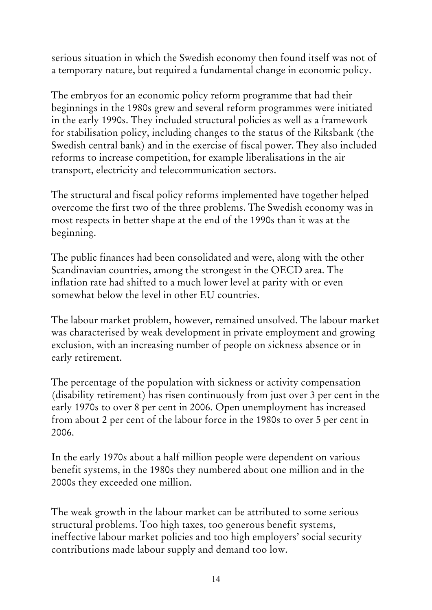serious situation in which the Swedish economy then found itself was not of a temporary nature, but required a fundamental change in economic policy.

The embryos for an economic policy reform programme that had their beginnings in the 1980s grew and several reform programmes were initiated in the early 1990s. They included structural policies as well as a framework for stabilisation policy, including changes to the status of the Riksbank (the Swedish central bank) and in the exercise of fiscal power. They also included reforms to increase competition, for example liberalisations in the air transport, electricity and telecommunication sectors.

The structural and fiscal policy reforms implemented have together helped overcome the first two of the three problems. The Swedish economy was in most respects in better shape at the end of the 1990s than it was at the beginning.

The public finances had been consolidated and were, along with the other Scandinavian countries, among the strongest in the OECD area. The inflation rate had shifted to a much lower level at parity with or even somewhat below the level in other EU countries.

The labour market problem, however, remained unsolved. The labour market was characterised by weak development in private employment and growing exclusion, with an increasing number of people on sickness absence or in early retirement.

The percentage of the population with sickness or activity compensation (disability retirement) has risen continuously from just over 3 per cent in the early 1970s to over 8 per cent in 2006. Open unemployment has increased from about 2 per cent of the labour force in the 1980s to over 5 per cent in 2006.

In the early 1970s about a half million people were dependent on various benefit systems, in the 1980s they numbered about one million and in the 2000s they exceeded one million.

The weak growth in the labour market can be attributed to some serious structural problems. Too high taxes, too generous benefit systems, ineffective labour market policies and too high employers' social security contributions made labour supply and demand too low.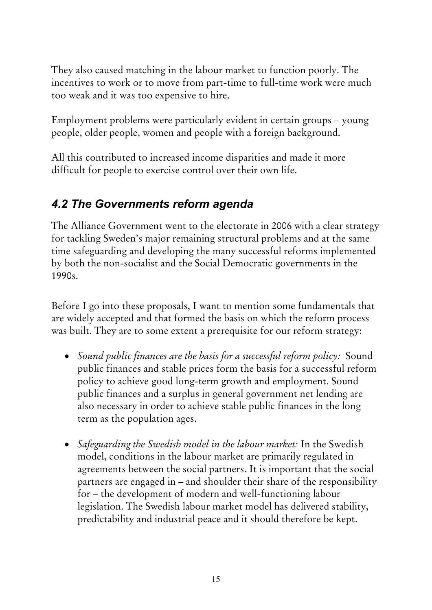They also caused matching in the labour market to function poorly. The incentives to work or to move from part-time to full-time work were much too weak and it was too expensive to hire.

Employment problems were particularly evident in certain groups – young people, older people, women and people with a foreign background.

All this contributed to increased income disparities and made it more difficult for people to exercise control over their own life.

# *4.2 The Governments reform agenda*

The Alliance Government went to the electorate in 2006 with a clear strategy for tackling Sweden's major remaining structural problems and at the same time safeguarding and developing the many successful reforms implemented by both the non-socialist and the Social Democratic governments in the 1990s.

Before I go into these proposals, I want to mention some fundamentals that are widely accepted and that formed the basis on which the reform process was built. They are to some extent a prerequisite for our reform strategy:

- *Sound public finances are the basis for a successful reform policy:* Sound public finances and stable prices form the basis for a successful reform policy to achieve good long-term growth and employment. Sound public finances and a surplus in general government net lending are also necessary in order to achieve stable public finances in the long term as the population ages.
- *Safeguarding the Swedish model in the labour market:* In the Swedish model, conditions in the labour market are primarily regulated in agreements between the social partners. It is important that the social partners are engaged in – and shoulder their share of the responsibility for – the development of modern and well-functioning labour legislation. The Swedish labour market model has delivered stability, predictability and industrial peace and it should therefore be kept.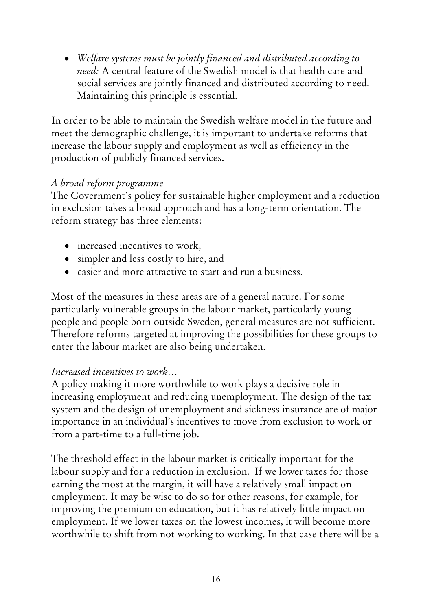• *Welfare systems must be jointly financed and distributed according to need:* A central feature of the Swedish model is that health care and social services are jointly financed and distributed according to need. Maintaining this principle is essential.

In order to be able to maintain the Swedish welfare model in the future and meet the demographic challenge, it is important to undertake reforms that increase the labour supply and employment as well as efficiency in the production of publicly financed services.

### *A broad reform programme*

The Government's policy for sustainable higher employment and a reduction in exclusion takes a broad approach and has a long-term orientation. The reform strategy has three elements:

- increased incentives to work,
- simpler and less costly to hire, and
- easier and more attractive to start and run a business.

Most of the measures in these areas are of a general nature. For some particularly vulnerable groups in the labour market, particularly young people and people born outside Sweden, general measures are not sufficient. Therefore reforms targeted at improving the possibilities for these groups to enter the labour market are also being undertaken.

### *Increased incentives to work…*

A policy making it more worthwhile to work plays a decisive role in increasing employment and reducing unemployment. The design of the tax system and the design of unemployment and sickness insurance are of major importance in an individual's incentives to move from exclusion to work or from a part-time to a full-time job.

The threshold effect in the labour market is critically important for the labour supply and for a reduction in exclusion. If we lower taxes for those earning the most at the margin, it will have a relatively small impact on employment. It may be wise to do so for other reasons, for example, for improving the premium on education, but it has relatively little impact on employment. If we lower taxes on the lowest incomes, it will become more worthwhile to shift from not working to working. In that case there will be a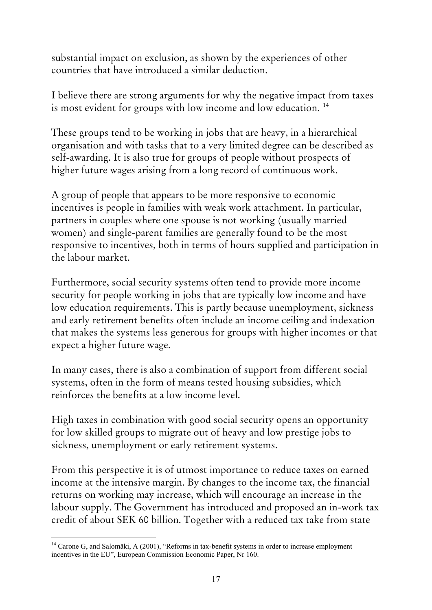substantial impact on exclusion, as shown by the experiences of other countries that have introduced a similar deduction.

I believe there are strong arguments for why the negative impact from taxes is most evident for groups with low income and low education.<sup>[14](#page-16-0)</sup>

These groups tend to be working in jobs that are heavy, in a hierarchical organisation and with tasks that to a very limited degree can be described as self-awarding. It is also true for groups of people without prospects of higher future wages arising from a long record of continuous work.

A group of people that appears to be more responsive to economic incentives is people in families with weak work attachment. In particular, partners in couples where one spouse is not working (usually married women) and single-parent families are generally found to be the most responsive to incentives, both in terms of hours supplied and participation in the labour market.

Furthermore, social security systems often tend to provide more income security for people working in jobs that are typically low income and have low education requirements. This is partly because unemployment, sickness and early retirement benefits often include an income ceiling and indexation that makes the systems less generous for groups with higher incomes or that expect a higher future wage.

In many cases, there is also a combination of support from different social systems, often in the form of means tested housing subsidies, which reinforces the benefits at a low income level.

High taxes in combination with good social security opens an opportunity for low skilled groups to migrate out of heavy and low prestige jobs to sickness, unemployment or early retirement systems.

From this perspective it is of utmost importance to reduce taxes on earned income at the intensive margin. By changes to the income tax, the financial returns on working may increase, which will encourage an increase in the labour supply. The Government has introduced and proposed an in-work tax credit of about SEK 60 billion. Together with a reduced tax take from state

<span id="page-16-0"></span><sup>1</sup> <sup>14</sup> Carone G, and Salomäki, A (2001), "Reforms in tax-benefit systems in order to increase employment incentives in the EU", European Commission Economic Paper, Nr 160.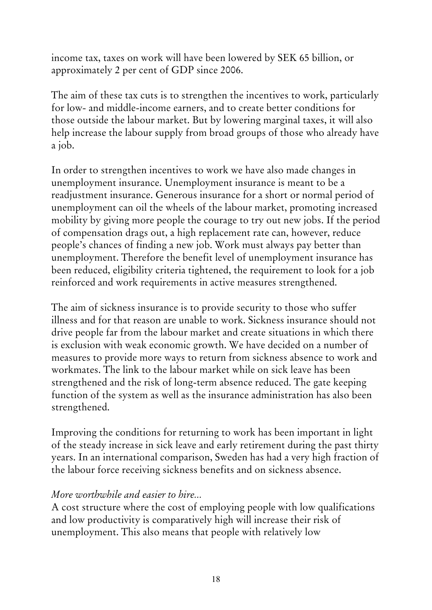income tax, taxes on work will have been lowered by SEK 65 billion, or approximately 2 per cent of GDP since 2006.

The aim of these tax cuts is to strengthen the incentives to work, particularly for low- and middle-income earners, and to create better conditions for those outside the labour market. But by lowering marginal taxes, it will also help increase the labour supply from broad groups of those who already have a job.

In order to strengthen incentives to work we have also made changes in unemployment insurance. Unemployment insurance is meant to be a readjustment insurance. Generous insurance for a short or normal period of unemployment can oil the wheels of the labour market, promoting increased mobility by giving more people the courage to try out new jobs. If the period of compensation drags out, a high replacement rate can, however, reduce people's chances of finding a new job. Work must always pay better than unemployment. Therefore the benefit level of unemployment insurance has been reduced, eligibility criteria tightened, the requirement to look for a job reinforced and work requirements in active measures strengthened.

The aim of sickness insurance is to provide security to those who suffer illness and for that reason are unable to work. Sickness insurance should not drive people far from the labour market and create situations in which there is exclusion with weak economic growth. We have decided on a number of measures to provide more ways to return from sickness absence to work and workmates. The link to the labour market while on sick leave has been strengthened and the risk of long-term absence reduced. The gate keeping function of the system as well as the insurance administration has also been strengthened.

Improving the conditions for returning to work has been important in light of the steady increase in sick leave and early retirement during the past thirty years. In an international comparison, Sweden has had a very high fraction of the labour force receiving sickness benefits and on sickness absence.

#### *More worthwhile and easier to hire...*

A cost structure where the cost of employing people with low qualifications and low productivity is comparatively high will increase their risk of unemployment. This also means that people with relatively low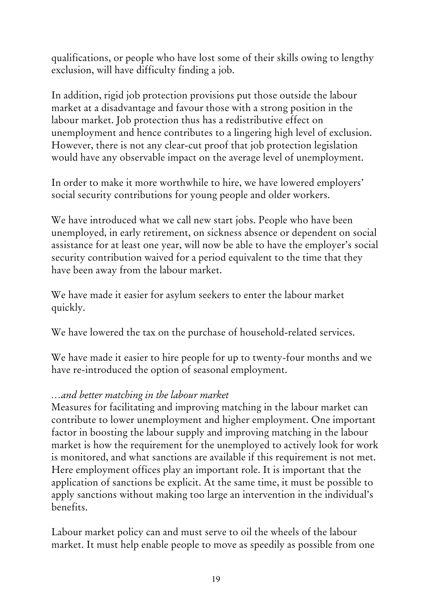qualifications, or people who have lost some of their skills owing to lengthy exclusion, will have difficulty finding a job.

In addition, rigid job protection provisions put those outside the labour market at a disadvantage and favour those with a strong position in the labour market. Job protection thus has a redistributive effect on unemployment and hence contributes to a lingering high level of exclusion. However, there is not any clear-cut proof that job protection legislation would have any observable impact on the average level of unemployment.

In order to make it more worthwhile to hire, we have lowered employers' social security contributions for young people and older workers.

We have introduced what we call new start jobs. People who have been unemployed, in early retirement, on sickness absence or dependent on social assistance for at least one year, will now be able to have the employer's social security contribution waived for a period equivalent to the time that they have been away from the labour market.

We have made it easier for asylum seekers to enter the labour market quickly.

We have lowered the tax on the purchase of household-related services.

We have made it easier to hire people for up to twenty-four months and we have re-introduced the option of seasonal employment.

### *…and better matching in the labour market*

Measures for facilitating and improving matching in the labour market can contribute to lower unemployment and higher employment. One important factor in boosting the labour supply and improving matching in the labour market is how the requirement for the unemployed to actively look for work is monitored, and what sanctions are available if this requirement is not met. Here employment offices play an important role. It is important that the application of sanctions be explicit. At the same time, it must be possible to apply sanctions without making too large an intervention in the individual's benefits.

Labour market policy can and must serve to oil the wheels of the labour market. It must help enable people to move as speedily as possible from one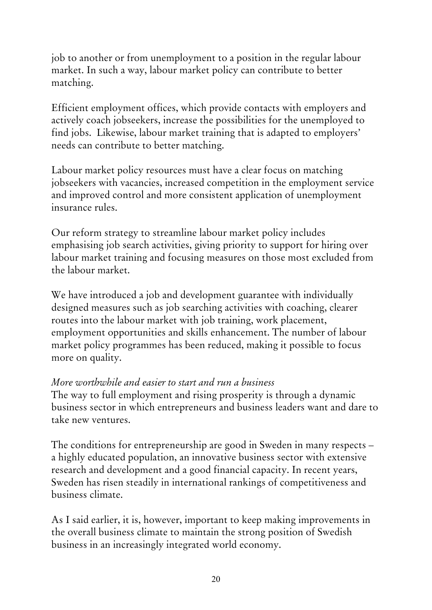job to another or from unemployment to a position in the regular labour market. In such a way, labour market policy can contribute to better matching.

Efficient employment offices, which provide contacts with employers and actively coach jobseekers, increase the possibilities for the unemployed to find jobs. Likewise, labour market training that is adapted to employers' needs can contribute to better matching.

Labour market policy resources must have a clear focus on matching jobseekers with vacancies, increased competition in the employment service and improved control and more consistent application of unemployment insurance rules.

Our reform strategy to streamline labour market policy includes emphasising job search activities, giving priority to support for hiring over labour market training and focusing measures on those most excluded from the labour market.

We have introduced a job and development guarantee with individually designed measures such as job searching activities with coaching, clearer routes into the labour market with job training, work placement, employment opportunities and skills enhancement. The number of labour market policy programmes has been reduced, making it possible to focus more on quality.

#### *More worthwhile and easier to start and run a business*

The way to full employment and rising prosperity is through a dynamic business sector in which entrepreneurs and business leaders want and dare to take new ventures.

The conditions for entrepreneurship are good in Sweden in many respects – a highly educated population, an innovative business sector with extensive research and development and a good financial capacity. In recent years, Sweden has risen steadily in international rankings of competitiveness and business climate.

As I said earlier, it is, however, important to keep making improvements in the overall business climate to maintain the strong position of Swedish business in an increasingly integrated world economy.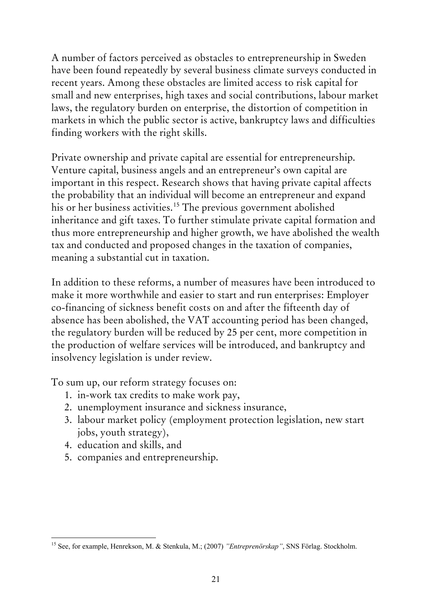A number of factors perceived as obstacles to entrepreneurship in Sweden have been found repeatedly by several business climate surveys conducted in recent years. Among these obstacles are limited access to risk capital for small and new enterprises, high taxes and social contributions, labour market laws, the regulatory burden on enterprise, the distortion of competition in markets in which the public sector is active, bankruptcy laws and difficulties finding workers with the right skills.

Private ownership and private capital are essential for entrepreneurship. Venture capital, business angels and an entrepreneur's own capital are important in this respect. Research shows that having private capital affects the probability that an individual will become an entrepreneur and expand his or her business activities.<sup>[15](#page-20-0)</sup> The previous government abolished inheritance and gift taxes. To further stimulate private capital formation and thus more entrepreneurship and higher growth, we have abolished the wealth tax and conducted and proposed changes in the taxation of companies, meaning a substantial cut in taxation.

In addition to these reforms, a number of measures have been introduced to make it more worthwhile and easier to start and run enterprises: Employer co-financing of sickness benefit costs on and after the fifteenth day of absence has been abolished, the VAT accounting period has been changed, the regulatory burden will be reduced by 25 per cent, more competition in the production of welfare services will be introduced, and bankruptcy and insolvency legislation is under review.

To sum up, our reform strategy focuses on:

- 1. in-work tax credits to make work pay,
- 2. unemployment insurance and sickness insurance,
- 3. labour market policy (employment protection legislation, new start jobs, youth strategy),
- 4. education and skills, and
- 5. companies and entrepreneurship.

<span id="page-20-0"></span><sup>1</sup> 15 See, for example, Henrekson, M. & Stenkula, M.; (2007) *"Entreprenörskap"*, SNS Förlag. Stockholm.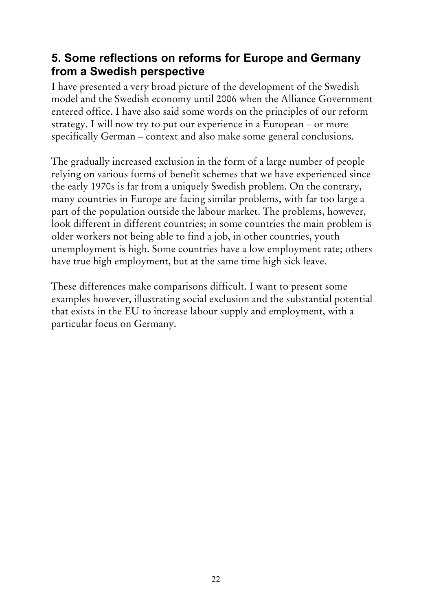## **5. Some reflections on reforms for Europe and Germany from a Swedish perspective**

I have presented a very broad picture of the development of the Swedish model and the Swedish economy until 2006 when the Alliance Government entered office. I have also said some words on the principles of our reform strategy. I will now try to put our experience in a European – or more specifically German – context and also make some general conclusions.

The gradually increased exclusion in the form of a large number of people relying on various forms of benefit schemes that we have experienced since the early 1970s is far from a uniquely Swedish problem. On the contrary, many countries in Europe are facing similar problems, with far too large a part of the population outside the labour market. The problems, however, look different in different countries; in some countries the main problem is older workers not being able to find a job, in other countries, youth unemployment is high. Some countries have a low employment rate; others have true high employment, but at the same time high sick leave.

These differences make comparisons difficult. I want to present some examples however, illustrating social exclusion and the substantial potential that exists in the EU to increase labour supply and employment, with a particular focus on Germany.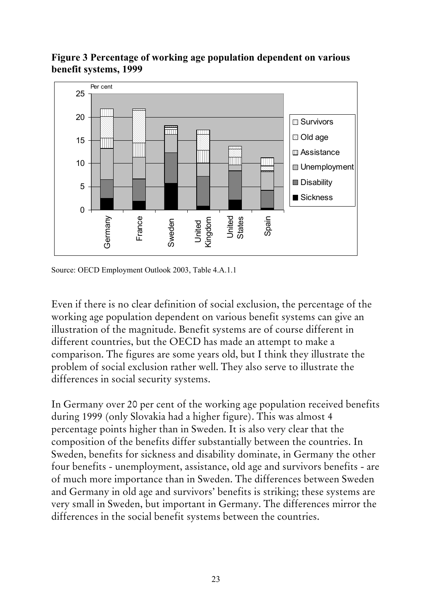



Source: OECD Employment Outlook 2003, Table 4.A.1.1

Even if there is no clear definition of social exclusion, the percentage of the working age population dependent on various benefit systems can give an illustration of the magnitude. Benefit systems are of course different in different countries, but the OECD has made an attempt to make a comparison. The figures are some years old, but I think they illustrate the problem of social exclusion rather well. They also serve to illustrate the differences in social security systems.

In Germany over 20 per cent of the working age population received benefits during 1999 (only Slovakia had a higher figure). This was almost 4 percentage points higher than in Sweden. It is also very clear that the composition of the benefits differ substantially between the countries. In Sweden, benefits for sickness and disability dominate, in Germany the other four benefits - unemployment, assistance, old age and survivors benefits - are of much more importance than in Sweden. The differences between Sweden and Germany in old age and survivors' benefits is striking; these systems are very small in Sweden, but important in Germany. The differences mirror the differences in the social benefit systems between the countries.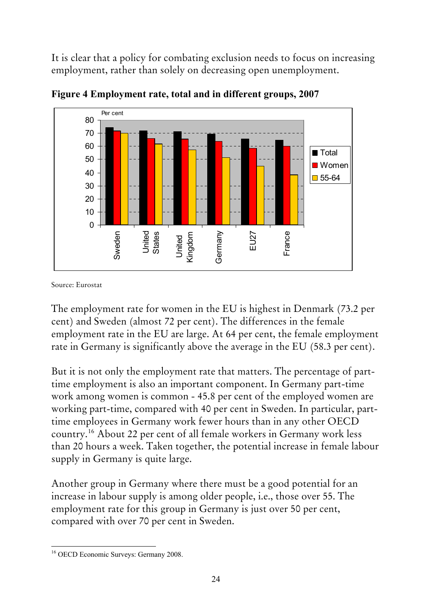It is clear that a policy for combating exclusion needs to focus on increasing employment, rather than solely on decreasing open unemployment.



**Figure 4 Employment rate, total and in different groups, 2007**

Source: Eurostat

The employment rate for women in the EU is highest in Denmark (73.2 per cent) and Sweden (almost 72 per cent). The differences in the female employment rate in the EU are large. At 64 per cent, the female employment rate in Germany is significantly above the average in the EU (58.3 per cent).

But it is not only the employment rate that matters. The percentage of parttime employment is also an important component. In Germany part-time work among women is common - 45.8 per cent of the employed women are working part-time, compared with 40 per cent in Sweden. In particular, parttime employees in Germany work fewer hours than in any other OECD country.[16](#page-23-0) About 22 per cent of all female workers in Germany work less than 20 hours a week. Taken together, the potential increase in female labour supply in Germany is quite large.

Another group in Germany where there must be a good potential for an increase in labour supply is among older people, i.e., those over 55. The employment rate for this group in Germany is just over 50 per cent, compared with over 70 per cent in Sweden.

<span id="page-23-0"></span><sup>1</sup> 16 OECD Economic Surveys: Germany 2008.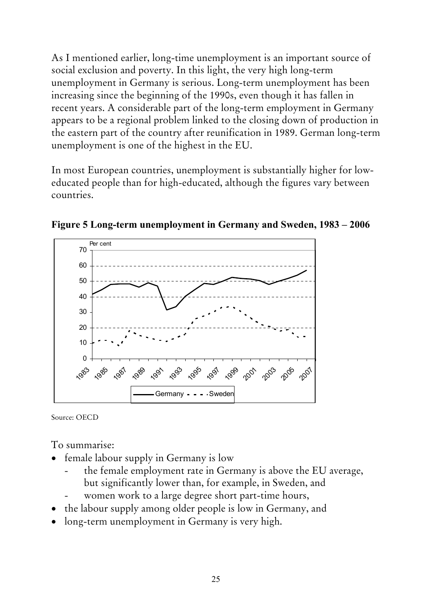As I mentioned earlier, long-time unemployment is an important source of social exclusion and poverty. In this light, the very high long-term unemployment in Germany is serious. Long-term unemployment has been increasing since the beginning of the 1990s, even though it has fallen in recent years. A considerable part of the long-term employment in Germany appears to be a regional problem linked to the closing down of production in the eastern part of the country after reunification in 1989. German long-term unemployment is one of the highest in the EU.

In most European countries, unemployment is substantially higher for loweducated people than for high-educated, although the figures vary between countries.



**Figure 5 Long-term unemployment in Germany and Sweden, 1983 – 2006**

Source: OECD

To summarise:

- female labour supply in Germany is low
	- the female employment rate in Germany is above the EU average, but significantly lower than, for example, in Sweden, and
	- women work to a large degree short part-time hours,
- the labour supply among older people is low in Germany, and
- long-term unemployment in Germany is very high.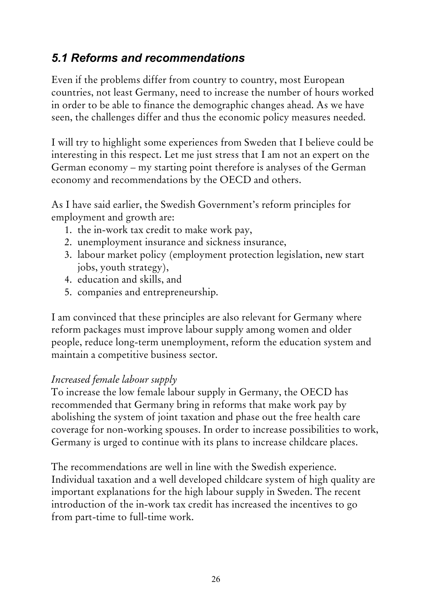# *5.1 Reforms and recommendations*

Even if the problems differ from country to country, most European countries, not least Germany, need to increase the number of hours worked in order to be able to finance the demographic changes ahead. As we have seen, the challenges differ and thus the economic policy measures needed.

I will try to highlight some experiences from Sweden that I believe could be interesting in this respect. Let me just stress that I am not an expert on the German economy – my starting point therefore is analyses of the German economy and recommendations by the OECD and others.

As I have said earlier, the Swedish Government's reform principles for employment and growth are:

- 1. the in-work tax credit to make work pay,
- 2. unemployment insurance and sickness insurance,
- 3. labour market policy (employment protection legislation, new start jobs, youth strategy),
- 4. education and skills, and
- 5. companies and entrepreneurship.

I am convinced that these principles are also relevant for Germany where reform packages must improve labour supply among women and older people, reduce long-term unemployment, reform the education system and maintain a competitive business sector.

### *Increased female labour supply*

To increase the low female labour supply in Germany, the OECD has recommended that Germany bring in reforms that make work pay by abolishing the system of joint taxation and phase out the free health care coverage for non-working spouses. In order to increase possibilities to work, Germany is urged to continue with its plans to increase childcare places.

The recommendations are well in line with the Swedish experience. Individual taxation and a well developed childcare system of high quality are important explanations for the high labour supply in Sweden. The recent introduction of the in-work tax credit has increased the incentives to go from part-time to full-time work.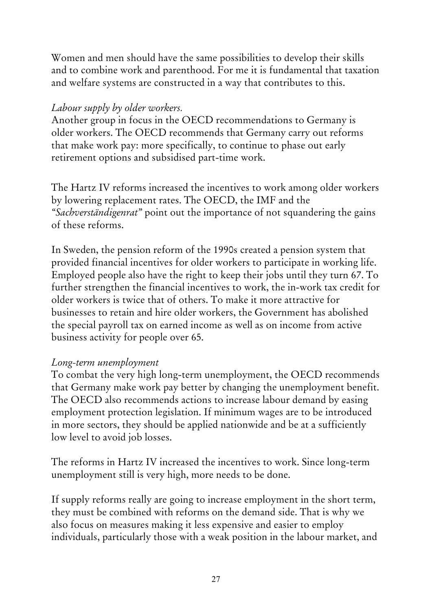Women and men should have the same possibilities to develop their skills and to combine work and parenthood. For me it is fundamental that taxation and welfare systems are constructed in a way that contributes to this.

### *Labour supply by older workers.*

Another group in focus in the OECD recommendations to Germany is older workers. The OECD recommends that Germany carry out reforms that make work pay: more specifically, to continue to phase out early retirement options and subsidised part-time work.

The Hartz IV reforms increased the incentives to work among older workers by lowering replacement rates. The OECD, the IMF and the *"Sachverständigenrat"* point out the importance of not squandering the gains of these reforms.

In Sweden, the pension reform of the 1990s created a pension system that provided financial incentives for older workers to participate in working life. Employed people also have the right to keep their jobs until they turn 67. To further strengthen the financial incentives to work, the in-work tax credit for older workers is twice that of others. To make it more attractive for businesses to retain and hire older workers, the Government has abolished the special payroll tax on earned income as well as on income from active business activity for people over 65.

### *Long-term unemployment*

To combat the very high long-term unemployment, the OECD recommends that Germany make work pay better by changing the unemployment benefit. The OECD also recommends actions to increase labour demand by easing employment protection legislation. If minimum wages are to be introduced in more sectors, they should be applied nationwide and be at a sufficiently low level to avoid job losses.

The reforms in Hartz IV increased the incentives to work. Since long-term unemployment still is very high, more needs to be done.

If supply reforms really are going to increase employment in the short term, they must be combined with reforms on the demand side. That is why we also focus on measures making it less expensive and easier to employ individuals, particularly those with a weak position in the labour market, and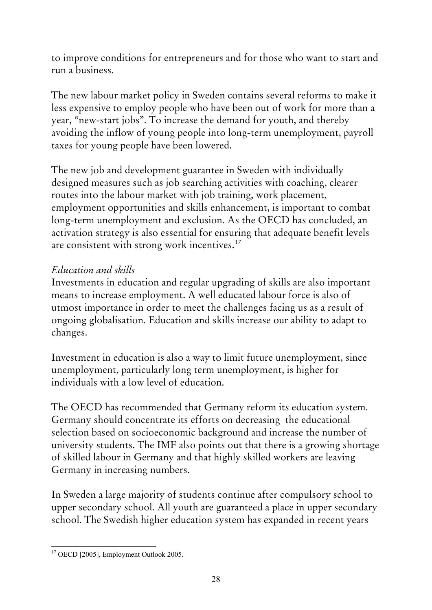to improve conditions for entrepreneurs and for those who want to start and run a business.

The new labour market policy in Sweden contains several reforms to make it less expensive to employ people who have been out of work for more than a year, "new-start jobs". To increase the demand for youth, and thereby avoiding the inflow of young people into long-term unemployment, payroll taxes for young people have been lowered.

The new job and development guarantee in Sweden with individually designed measures such as job searching activities with coaching, clearer routes into the labour market with job training, work placement, employment opportunities and skills enhancement, is important to combat long-term unemployment and exclusion. As the OECD has concluded, an activation strategy is also essential for ensuring that adequate benefit levels are consistent with strong work incentives.<sup>[17](#page-27-0)</sup>

### *Education and skills*

Investments in education and regular upgrading of skills are also important means to increase employment. A well educated labour force is also of utmost importance in order to meet the challenges facing us as a result of ongoing globalisation. Education and skills increase our ability to adapt to changes.

Investment in education is also a way to limit future unemployment, since unemployment, particularly long term unemployment, is higher for individuals with a low level of education.

The OECD has recommended that Germany reform its education system. Germany should concentrate its efforts on decreasing the educational selection based on socioeconomic background and increase the number of university students. The IMF also points out that there is a growing shortage of skilled labour in Germany and that highly skilled workers are leaving Germany in increasing numbers.

In Sweden a large majority of students continue after compulsory school to upper secondary school. All youth are guaranteed a place in upper secondary school. The Swedish higher education system has expanded in recent years

<span id="page-27-0"></span><sup>1</sup> <sup>17</sup> OECD [2005], Employment Outlook 2005.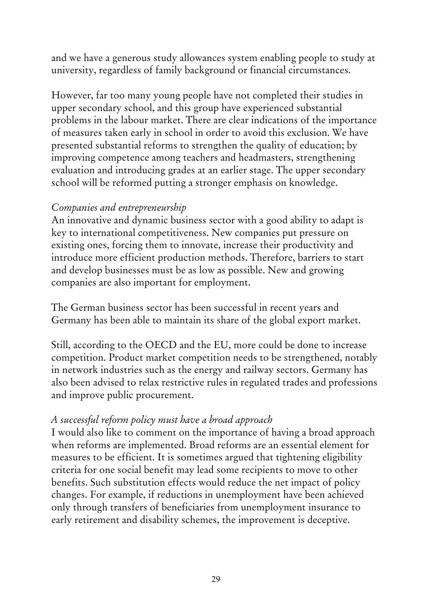and we have a generous study allowances system enabling people to study at university, regardless of family background or financial circumstances.

However, far too many young people have not completed their studies in upper secondary school, and this group have experienced substantial problems in the labour market. There are clear indications of the importance of measures taken early in school in order to avoid this exclusion. We have presented substantial reforms to strengthen the quality of education; by improving competence among teachers and headmasters, strengthening evaluation and introducing grades at an earlier stage. The upper secondary school will be reformed putting a stronger emphasis on knowledge.

### *Companies and entrepreneurship*

An innovative and dynamic business sector with a good ability to adapt is key to international competitiveness. New companies put pressure on existing ones, forcing them to innovate, increase their productivity and introduce more efficient production methods. Therefore, barriers to start and develop businesses must be as low as possible. New and growing companies are also important for employment.

The German business sector has been successful in recent years and Germany has been able to maintain its share of the global export market.

Still, according to the OECD and the EU, more could be done to increase competition. Product market competition needs to be strengthened, notably in network industries such as the energy and railway sectors. Germany has also been advised to relax restrictive rules in regulated trades and professions and improve public procurement.

### *A successful reform policy must have a broad approach*

I would also like to comment on the importance of having a broad approach when reforms are implemented. Broad reforms are an essential element for measures to be efficient. It is sometimes argued that tightening eligibility criteria for one social benefit may lead some recipients to move to other benefits. Such substitution effects would reduce the net impact of policy changes. For example, if reductions in unemployment have been achieved only through transfers of beneficiaries from unemployment insurance to early retirement and disability schemes, the improvement is deceptive.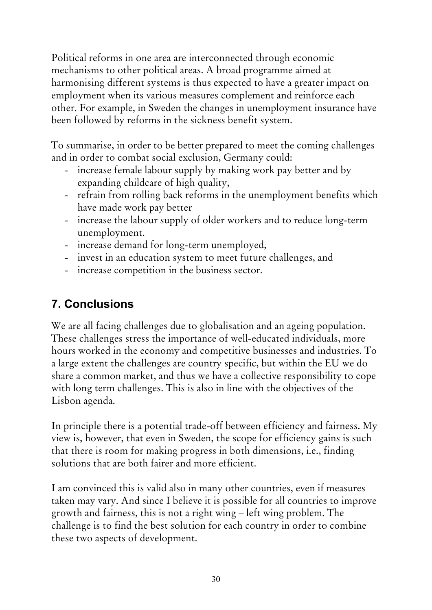Political reforms in one area are interconnected through economic mechanisms to other political areas. A broad programme aimed at harmonising different systems is thus expected to have a greater impact on employment when its various measures complement and reinforce each other. For example, in Sweden the changes in unemployment insurance have been followed by reforms in the sickness benefit system.

To summarise, in order to be better prepared to meet the coming challenges and in order to combat social exclusion, Germany could:

- increase female labour supply by making work pay better and by expanding childcare of high quality,
- refrain from rolling back reforms in the unemployment benefits which have made work pay better
- increase the labour supply of older workers and to reduce long-term unemployment.
- increase demand for long-term unemployed,
- invest in an education system to meet future challenges, and
- increase competition in the business sector.

# **7. Conclusions**

We are all facing challenges due to globalisation and an ageing population. These challenges stress the importance of well-educated individuals, more hours worked in the economy and competitive businesses and industries. To a large extent the challenges are country specific, but within the EU we do share a common market, and thus we have a collective responsibility to cope with long term challenges. This is also in line with the objectives of the Lisbon agenda.

In principle there is a potential trade-off between efficiency and fairness. My view is, however, that even in Sweden, the scope for efficiency gains is such that there is room for making progress in both dimensions, i.e., finding solutions that are both fairer and more efficient.

I am convinced this is valid also in many other countries, even if measures taken may vary. And since I believe it is possible for all countries to improve growth and fairness, this is not a right wing – left wing problem. The challenge is to find the best solution for each country in order to combine these two aspects of development.